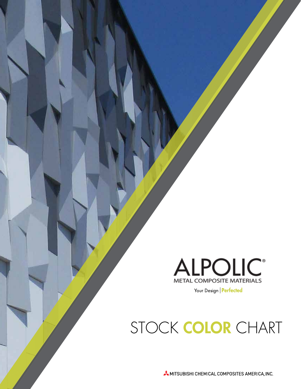

Your Design | Perfected

STOCK COLOR CHART

MITSUBISHI CHEMICAL COMPOSITES AMERICA, INC.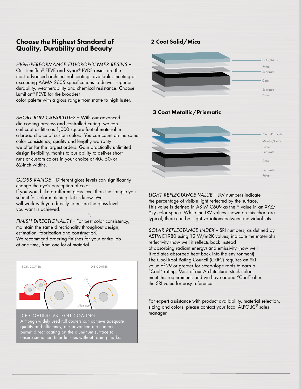# Choose the Highest Standard of Quality, Durability and Beauty

*HIGH-PERFORMANCE FLUOROPOLYMER RESINS* – Our Lumiflon® FEVE and Kynar® PVDF resins are the most advanced architectural coatings available, meeting or exceeding AAMA 2605 specifications to deliver superior durability, weatherability and chemical resistance. Choose Lumiflon® FEVE for the broadest color palette with a gloss range from matte to high luster.

*SHORT RUN CAPABILITIES* – With our advanced die coating process and controlled curing, we can coil coat as little as 1,000 square feet of material in a broad choice of custom colors. You can count on the same color consistency, quality and lengthy warranty we offer for the largest orders. Gain practically unlimited design flexibility, thanks to our ability to deliver short runs of custom colors in your choice of 40-, 50- or 62-inch widths.

*GLOSS RANGE – Different gloss levels can significantly* change the eye's perception of color. If you would like a different gloss level than the sample you submit for color matching, let us know. We will work with you directly to ensure the gloss level you want is achieved.

*FINISH DIRECTIONALITY* – For best color consistency, maintain the same directionality throughout design, estimation, fabrication and construction. We recommend ordering finishes for your entire job at one time, from one lot of material.



Although widely used roll coaters can achieve adequate quality and efficiency, our advanced die coaters permit direct coating on the aluminum surface to ensure smoother, finer finishes without roping marks.

# 2 Coat Solid/Mica



# 3 Coat Metallic/Prismatic



*LIGHT REFLECTANCE VALUE* – LRV numbers indicate the percentage of visible light reflected by the surface. This value is defined in ASTM C609 as the Y value in an XYZ/ Yxy color space. While the LRV values shown on this chart are typical, there can be slight variations between individual lots.

*SOLAR REFLECTANCE INDEX* – SRI numbers, as defined by ASTM E1980 using 12 W/m2K values, indicate the material's reflectivity (how well it reflects back instead of absorbing radiant energy) and emissivity (how well it radiates absorbed heat back into the environment). The Cool Roof Rating Council (CRRC) requires an SRI value of 29 or greater for steep-slope roofs to earn a "Cool" rating. Most of our Architectural stock colors meet this requirement, and we have added "Cool" after the SRI value for easy reference.

For expert assistance with product availability, material selection, sizing and colors, please contact your local ALPOLIC<sup>®</sup> sales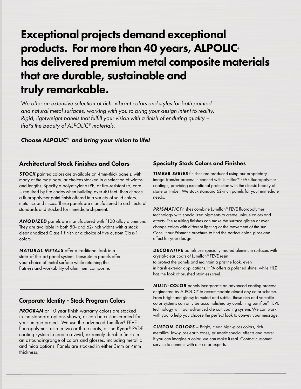# Exceptional projects demand exceptional products. For more than 40 years, ALPOLIC*®* has delivered premium metal composite materials that are durable, sustainable and truly remarkable.

*We offer an extensive selection of rich, vibrant colors and styles for both painted and natural metal surfaces, working with you to bring your design intent to reality. Rigid, lightweight panels that fulfill your vision with a finish of enduring quality that's the beauty of ALPOLIC® materials.*

# *Choose ALPOLIC® and bring your vision to life!*

# Architectural Stock Finishes and Colors

*STOCK* painted colors are available on 4mm-thick panels, with many of the most popular choices stocked in a selection of widths and lengths. Specify a polyethylene (PE) or fire-resistant (fr) core – required by fire codes when building over 40 feet. Then choose a fluoropolymer paint finish offered in a variety of solid colors, metallics and micas. These panels are manufactured to architectural standards and stocked for immediate shipment.

*ANODIZED* panels are manufactured with 1100 alloy aluminum. They are available in both 50- and 62-inch widths with a stock clear anodized Class 1 finish or a choice of five custom Class 1 colors.

*NATURAL METALS* offer a traditional look in a state-of-the-art panel system. These 4mm panels offer your choice of metal surface while retaining the flatness and workability of aluminum composite.

# Corporate Identity - Stock Program Colors

PROGRAM or 10 year finish warranty colors are stocked in the standard options shown, or can be custom-created for your unique project. We use the advanced Lumiflon® FEVE fluoropolymer resin in two or three coats, or the Kynar<sup>®</sup> PVDF coating system to create a vivid, extremely durable finish in an astoundingrange of colors and glosses, including metallic and mica options. Panels are stocked in either 3mm or 4mm thickness.

# Specialty Stock Colors and Finishes

**TIMBER SERIES** finishes are produced using our proprietary image-transfer process in concert with Lumiflon® FEVE fluoropolymer coatings, providing exceptional protection with the classic beauty of stone or timber. We stock standard 62-inch panels for your immediate needs.

**PRISMATIC** finishes combine Lumiflon® FEVE fluoropolymer technology with specialized pigments to create unique colors and effects. The resulting finishes can make the surface glisten or even change colors with different lighting or the movement of the sun. Consult our Prismatic brochure to find the perfect color, gloss and effect for your design.

*DECORATIVE* panels use specially treated aluminum surfaces with crystal-clear coats of Lumiflon® FEVE resin to protect the panels and maintain a pristine look, even in harsh exterior applications. HPA offers a polished shine, while HLZ has the look of brushed stainless steel.

*MULTI-COLOR* panels incorporate an advanced coating process engineered by ALPOLIC® to accommodate almost any color scheme. From bright and glossy to muted and subtle, these rich and versatile color systems can only be accomplished by combining Lumiflon® FEVE technology with our advanced die coil coating system. We can work with you to help you choose the perfect look to convey your message.

*CUSTOM COLORS* – Bright, clean high-gloss colors, rich metallics, low-gloss earth tones, prismatic special effects and more: If you can imagine a color, we can make it real. Contact customer service to connect with our color experts.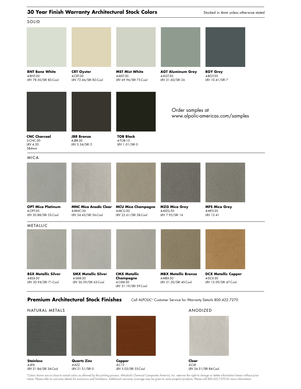### **30 Year Finish Warranty Architectural Stock Colors** Stocked in 4mm unless otherwise stated **10 Amm unless otherwise stated**



### **Premium Architectural Stock Finishes**

Call ALPOLIC<sup>®</sup> Customer Service for Warranty Details 800.422.7270

### **Stainless**  4-4HL LRV 21.84/SRI 34-Cool **Quartz Zinc**  4-AZZ LRV 21.51/SRI 0 NATURAL METALS **Clear**  4-CLR LRV 34.31/SRI 84-Cool **ANODIZED Copper**  4-C12 LRV 5.03/SRI 55-Cool

\*Colors shown are as close to actual colors as allowed by the printing process. Mitsubishi Chemical Composites America, Inc. reserves the right to change or delete information herein without prior<br>notice. Please refer to w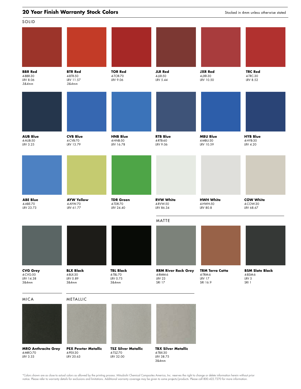### **20 Year Finish Warranty Stock Colors** and the control of the state of the state of the state of the state of the state of the state of the state of the state of the state of the state of the state of the state of the stat



\*Colors shown are as close to actual colors as allowed by the printing process. Mitsubishi Chemical Composites America, Inc. reserves the right to change or delete information herein without prior<br>notice. Please refer to w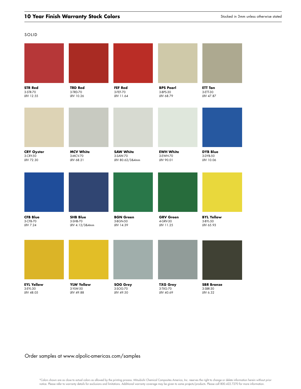### S O LID

| <b>STR Red</b>    | <b>TRD Red</b>    | FEF Red          | <b>BPS Pearl</b> | <b>ETT Tan</b>    |
|-------------------|-------------------|------------------|------------------|-------------------|
| 3-STR-70          | 3-TRD-70          | 3-FEF-70         | 3-BPS-30         | 3-ETT-30          |
| LRV 12.55         | LRV 10.26         | LRV 11.64        | LRV 68.79        | LRV 47.87         |
| <b>CRY Oyster</b> | <b>MCV White</b>  | <b>SAW White</b> | <b>EWH White</b> | <b>DYB Blue</b>   |
| 3-CRY-50          | 3-MCV-70          | 3-SAW-70         | 3-EWH-70         | 3-DYB-50          |
| LRV 72.30         | LRV 68.21         | LRV 80.62/3&4mm  | LRV 90.01        | LRV 10.06         |
| <b>CFB Blue</b>   | <b>SHB Blue</b>   | <b>BGN Green</b> | <b>GRV Green</b> | <b>BYL Yellow</b> |
| 3-CFB-70          | 3-SHB-70          | 3-BGN-50         | 4-GRV-30         | 3-BYL-50          |
| LRV 7.24          | LRV 4.12/3&4mm    | LRV 14.39        | LRV 11.25        | LRV 65.93         |
| <b>EYL Yellow</b> | <b>YLW Yellow</b> | <b>SOG Grey</b>  | <b>TXG Grey</b>  | <b>SBR Bronze</b> |
| 3-EYL-30          | 3-YLW-50          | 3-SOG-70         | 3-TXG-70         | 3-SBR-30          |
| LRV 48.05         | LRV 49.88         | LRV 49.50        | LRV 40.69        | LRV 6.32          |

# Order samples at www.alpolic-americas.com/samples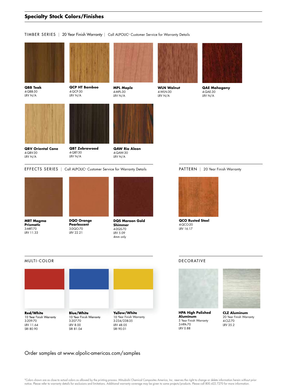### **Specialty Stock Colors/Finishes**

### TIMBER SERIES | 20 Year Finish Warranty | Call ALPOLIC® Customer Service for Warranty Details



**QBB Teak**  4-QBB-30 LRV N/A







**WLN Walnut** 

**MPL Maple** 

**QBV Oriental Cane**  4-QBV-30 LRV N/A

**QBT Zebrawood**  4-QBT-30 LRV N/A

**QAW Rio Aleon**  4-QAW-30 LRV N/A

EFFECTS SERIES | Call ALPOLIC<sup>®</sup> Customer Service for Warranty Details



**MRT Magma Prismatic** 3-MRT-70 LRV 11.33



**DQO Orange Pearlescent** 3-DQO-70 LRV 22.21



**DQS Maroon Gold Shimmer** 4-DQS-70 LRV 5.09 4mm only



**QAE Mahogany**  4-QAE-30 LRV N/A



**QCO Rusted Steel** 4-QCO-20 LRV 16.17

### MULTI-COLOR



### Order samples at www.alpolic-americas.com/samples

### **DECORATIVE**



**HPA High Polished Aluminum**  5 Year Finish Warranty 3-HPA-70 LRV 0.88



**CLZ Aluminum** 20 Year Finish Warranty 4-CLZ-70 LRV 35.2

\*Colors shown are as close to actual colors as allowed by the printing process. Mitsubishi Chemical Composites America, Inc. reserves the right to change or delete information herein without prior notice. Please refer to warranty details for exclusions and limitations. Additional warranty coverage may be given to some projects/products. Please call 800.422.7270 for more information.